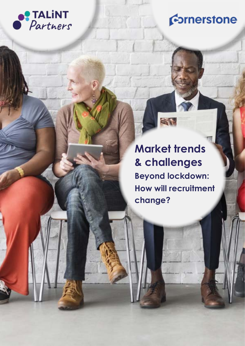

## Cornerstone

**& challenges & challenges Market trends Market trends Beyond lockdown: Beyond lockdown: How will recruitment How will recruitment change? change?** 

ST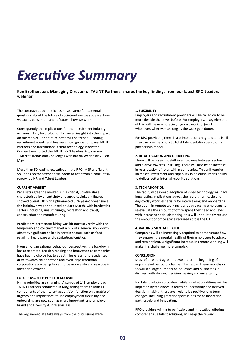## *Executive Summary*

### **Ken Brotherston, Managing Director of TALiNT Partners, shares the key findings from our latest RPO Leaders webinar**

The coronavirus epidemic has raised some fundamental questions about the future of society – how we socialise, how we act as consumers and, of course how we work.

Consequently the implications for the recruitment industry will most likely be profound. To give an insight into the impact on the market – and future patterns and trends – leading recruitment events and business intelligence company TALiNT Partners and international talent technology innovator Cornerstone hosted the TALiNT RPO Leaders Programme – Market Trends and Challenges webinar on Wednesday 13th May.

More than 50 leading executives in the RPO, MSP and Talent Solutions sector attended via Zoom to hear from a panel of six renowned HR and Talent Leaders.

#### **CURRENT MARKET**

Panellists agree the market is in a critical, volatile stage characterised by uncertainty and anxiety. LinkedIn figures showed overall UK hiring plummeted 39% year-on-year since the lockdown was announced on 23rd March, with hardest hit sectors including, unsurprisingly, recreation and travel, construction and manufacturing.

Predictably, permanent hiring was hit most severely with the temporary and contract market a mix of a general slow down offset by significant spikes in certain sectors such as food retailing, healthcare and distribution/logistics.

From an organisational behaviour perspective, the lockdown has accelerated decision-making and innovation as companies have had no choice but to adapt. There is an unprecedented drive towards collaboration and even large traditional corporations are being forced to be more agile and reactive in talent deployment.

#### **FUTURE MARKET: POST LOCKDOWN**

Hiring priorities are changing. A survey of 145 employers by TALiNT Partners conducted in May, asking them to rank 11 components of their talent acquisition function on a matrix of urgency and importance, found employment flexibility and onboarding are now seen as more important, and employer brand and Diversity & Inclusion less.

The key, immediate takeaways from the discussions were:

#### **1. FLEXIBILITY**

Employers and recruitment providers will be called on to be more flexible than ever before. For employers, a key element of this will mean embracing dynamic working (work whenever, wherever, as long as the work gets done).

For RPO providers, there is a prime opportunity to capitalise if they can provide a holistic total talent solution based on a partnership model.

#### **2. RE-ALLOCATION AND UPSKILLING**

There will be a seismic shift in employees between sectors and a drive towards upskilling. There will also be an increase in re-allocation of roles within companies. This will require increased investment and capability in an outsourcer's ability to deliver better internal mobility solutions.

#### **3. TECH ADOPTION**

The rapid, widespread adoption of video technology will have long-lasting implications across the recruitment cycle and day-to-day work, especially for interviewing and onboarding. The boom in remote working is already causing employers to re-evaluate the amount of office space they need and, even with increased social distancing, this will undoubtedly reduce the amount of office space required across the UK.

#### **4. VALUING MENTAL HEALTH**

Companies will be increasingly required to demonstrate how they support the mental health of their employees to attract and retain talent. A significant increase in remote working will make this challenge more complex.

#### **CONCLUSION**

Most of us would agree that we are at the beginning of an unparalleled period of change. The next eighteen months or so will see large numbers of job losses and businesses in distress, with delayed decision making and uncertainty.

For talent solution providers, whilst market conditions will be impacted by the above in terms of uncertainty and delayed decision making, there are likely to be positive long term changes, including greater opportunities for collaboration, partnership and innovation.

RPO providers willing to be flexible and innovative, offering comprehensive talent solutions, will reap the rewards.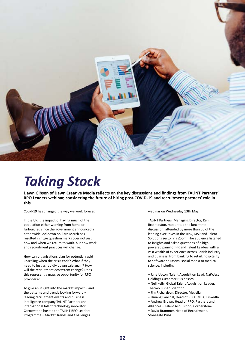

## *Taking Stock*

**Dawn Gibson of Dawn Creative Media reflects on the key discussions and findings from TALiNT Partners' RPO Leaders webinar, considering the future of hiring post-COVID-19 and recruitment partners' role in this.**

Covid-19 has changed the way we work forever.

In the UK, the impact of having much of the population either working from home or furloughed since the government announced a nationwide lockdown on 23rd March has resulted in huge question marks over not just how and when we return to work, but how work and recruitment practices will change.

How can organisations plan for potential rapid upscaling when the crisis ends? What if they need to just as rapidly downscale again? How will the recruitment ecosystem change? Does this represent a massive opportunity for RPO providers?

To give an insight into the market impact – and the patterns and trends looking forward – leading recruitment events and business intelligence company TALiNT Partners and international talent technology innovator Cornerstone hosted the TALiNT RPO Leaders Programme – Market Trends and Challenges

webinar on Wednesday 13th May.

TALiNT Partners' Managing Director, Ken Brotherston, moderated the lunchtime discussion, attended by more than 50 of the leading executives in the RPO, MSP and Talent Solutions sector via Zoom. The audience listened to insights and asked questions of a highpowered panel of HR and Talent Leaders with a vast wealth of experience across British industry and business, from banking to retail, hospitality to software solutions, social media to medical science, including:

• Jane Upton, Talent Acquisition Lead, NatWest Holdings Customer Businesses

• Neil Kelly, Global Talent Acquisition Leader, Thermo Fisher Scientific

- Jim Richardson, Director, Megella
- Umang Panchal, Head of RPO EMEA, LinkedIn

• Andrew Brown, Head of RPO, Partners and Alliances – Talent Acquisition, Cornerstone • David Brammer, Head of Recruitment, Stonegate Pubs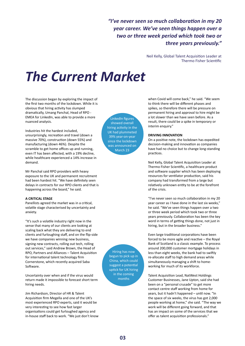*"I've never seen so much collaboration in my 20 year career. We've seen things happen over a two or three week period which took two or three years previously."* 

> Neil Kelly, Global Talent Acquisition Leader at Thermo Fisher Scientific

# *The Current Market*

The discussion began by exploring the impact of the first two months of the lockdown. While it is obvious that hiring activity has slumped dramatically, Umang Panchal, Head of RPO - EMEA for LinkedIn, was able to provide a more nuanced analysis.

Industries hit the hardest included, unsurprisingly, recreation and travel (down a massive 70%), construction (down 55%) and manufacturing (down 46%). Despite the scramble to get home offices up and running, even IT has been affected, with a 19% decline, while healthcare experienced a 14% increase in demand.

Mr Panchal said RPO providers with heavy exposure to the UK and permanent recruitment had been hardest hit. "We have definitely seen delays in contracts for our RPO clients and that is happening across the board," he said.

#### **A CRITICAL STAGE**

Panellists agreed the market was in a critical, volatile stage characterised by uncertainty and anxiety.

"It's such a volatile industry right now in the sense that many of our clients are looking at scaling back what they are delivering to end clients and furloughing staff, and on the flip-side we have companies winning new business, signing new contracts, rolling out tech, rolling out services," said Andrew Brown, the Head of RPO, Partners and Alliances – Talent Acquisition for international talent technology firm Cornerstone, which recently acquired Saba Software.

Uncertainty over when and if the virus would return made it impossible to forecast short term hiring needs.

Jim Richardson, Director of HR & Talent Acquisition firm Megella and one of the UK's most experienced RPO experts, said it would be very interesting to see how fast larger organisations could get furloughed agency and in-house staff back to work. "We just don't know

LinkedIn figures showed overall hiring activity in the UK had plummeted 39% year-on-year since the lockdown was announced on March 23

Hiring has now begun to pick up in China, which could suggest a potential uptick for UK hiring in the coming months

when Covid will come back," he said. "We seem to think there will be different phases and spikes, so therefore there will be pressure on permanent hiring and approval to hire might be a lot slower than we have seen before. As a result, there could be a spike in temporary or interim enquiry."

#### **DRIVING INNOVATION**

On a positive note, the lockdown has expedited decision-making and innovation as companies have had no choice but to change long-standing practices.

Neil Kelly, Global Talent Acquisition Leader at Thermo Fisher Scientific, a healthcare product and software supplier which has been deploying resources for ventilator production, said his company had transformed from a large but relatively unknown entity to be at the forefront of the crisis.

"I've never seen so much collaboration in my 20 year career as I have done in the last six weeks," he said. "We've seen things happen over a two or three week period which took two or three years previously. Collaboration has been the key word in terms of getting things done, not just in hiring, but in the broader business."

Even large traditional corporations have been forced to be more agile and reactive – the Royal Bank of Scotland is a classic example. To process around 200,000 customer mortgage holidays in less than eight weeks, the bank had to swiftly re-allocate staff to high demand areas while simultaneously managing a shift to homeworking for much of its workforce.

Talent Acquisition Lead, NatWest Holdings Customer Businesses, Jane Upton, said she had been on a "personal crusade" to get more contact centre staff working from home for years, but it hadn't happened – until now. "In the space of six weeks, the virus has got 2,000 people working at home," she said. "The way we work will be different going forward, and that has an impact on some of the services that we offer as talent acquisition professionals."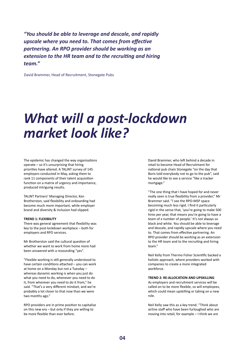*"You should be able to leverage and descale, and rapidly upscale where you need to. That comes from effective partnering. An RPO provider should be working as an extension to the HR team and to the recruiting and hiring team."*

David Brammer, Head of Recruitment, Stonegate Pubs

## *What will a post-lockdown market look like?*

The epidemic has changed the way organisations operate – so it's unsurprising that hiring priorities have altered. A TALiNT survey of 145 employers conducted in May, asking them to rank 11 components of their talent acquisition function on a matrix of urgency and importance, produced intriguing results.

TALiNT Partners' Managing Director, Ken Brotherston, said flexibility and onboarding had become much more important, while employer brand and diversity & inclusion had slipped.

#### **TREND 1: FLEXIBILITY**

There was general agreement that flexibility was key to the post-lockdown workplace – both for employers and RPO services.

Mr Brotherston said the cultural question of whether we want to work from home more had been answered with a resounding "yes".

"Flexible working is still generally understood to have certain conditions attached – you can work at home on a Monday but not a Tuesday – whereas dynamic working is when you just do what you need to do, whenever you need to do it, from wherever you need to do it from," he said. "That's a very different mindset, and we're probably a lot closer to that now than we were two months ago."

RPO providers are in prime position to capitalise on this new era – but only if they are willing to be more flexible than ever before.

David Brammer, who left behind a decade in retail to become Head of Recruitment for national pub chain Stonegate "on the day that Boris told everybody not to go to the pub", said he would like to see a service "like a tracker mortgage."

"The one thing that I have hoped for and never really seen is true flexibility from a provider," Mr Brammer said. "I see the RPO-MSP space becoming much less rigid. I find it particularly rigid in the sense that, 'you're going to make 500 hires per year, that means you're going to have a team of x number of people.' It's not always so black and white. You should be able to leverage and descale, and rapidly upscale where you need to. That comes from effective partnering. An RPO provider should be working as an extension to the HR team and to the recruiting and hiring team."

Neil Kelly from Thermo Fisher Scientific backed a holistic approach, where providers worked with companies to create a more integrated workforce.

#### **TREND 2: RE-ALLOCATION AND UPSKILLING**

As employers and recruitment services will be called on to be more flexible, so will employees, which could mean upskilling or taking on a new role.

Neil Kelly saw this as a key trend. "Think about airline staff who have been furloughed who are moving into retail, for example – I think we are